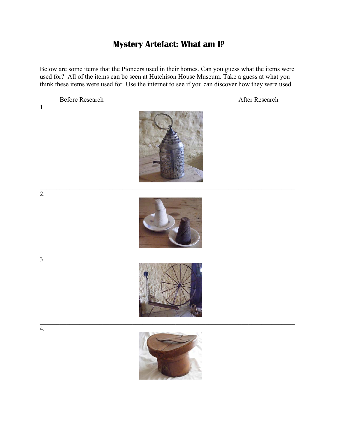## **Mystery Artefact: What am I?**

Below are some items that the Pioneers used in their homes. Can you guess what the items were used for? All of the items can be seen at Hutchison House Museum. Take a guess at what you think these items were used for. Use the internet to see if you can discover how they were used.

Before Research After Research

1.









 $\overline{3}$ .

4.

 $\overline{2}$ .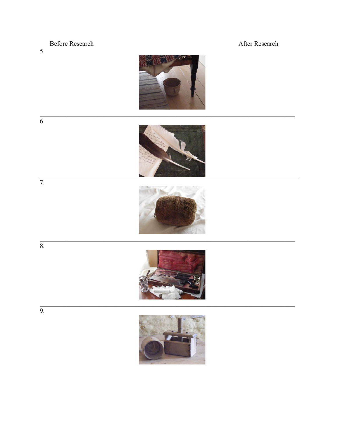## **Before Research**

5.





 $\overline{7}$ .











After Research

 $\overline{9}$ .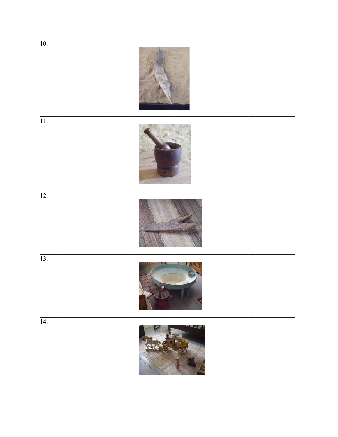



 $\overline{12}$ .



 $\overline{13}$ .

 $\overline{14}$ .





 $10.$